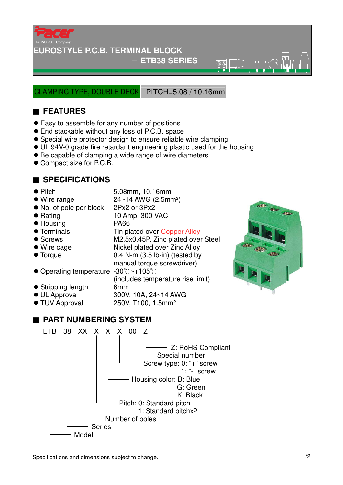

#### **EUROSTYLE P.C.B. TERMINAL BLOCK**

#### − **ETB38 SERIES**

 $\overline{\circledR}$ 

LAMPING TYPE, DOUBLE DECK PITCH=5.08 / 10.16mm

## ■ **FEATURES**

- Easy to assemble for any number of positions
- End stackable without any loss of P.C.B. space
- Special wire protector design to ensure reliable wire clamping
- UL 94V-0 grade fire retardant engineering plastic used for the housing
- Be capable of clamping a wide range of wire diameters
- Compact size for P.C.B.

### ■ **SPECIFICATIONS**

- Pitch 5.08mm, 10.16mm
- $\bullet$  Wire range  $24~14$  AWG (2.5mm<sup>2</sup>)
- No. of pole per block 2Px2 or 3Px2
- Rating 10 Amp, 300 VAC
- 
- 
- 
- 
- Torque 0.4 N-m (3.5 lb-in) (tested by
- Housing PA66

250V, T100, 1.5mm<sup>2</sup>

(includes temperature rise limit)

- Terminals Tin plated over Copper Alloy
- Screws M2.5x0.45P, Zinc plated over Steel
- Wire cage Nickel plated over Zinc Alloy
- 
- manual torque screwdriver) ● Operating temperature -30°C~+105°C
- Stripping length 6mm
- 
- UL Approval 300V, 10A, 24~14 AWG<br>● TUV Approval 250V, T100, 1.5mm<sup>2</sup>

# ■ **PART NUMBERING SYSTEM**